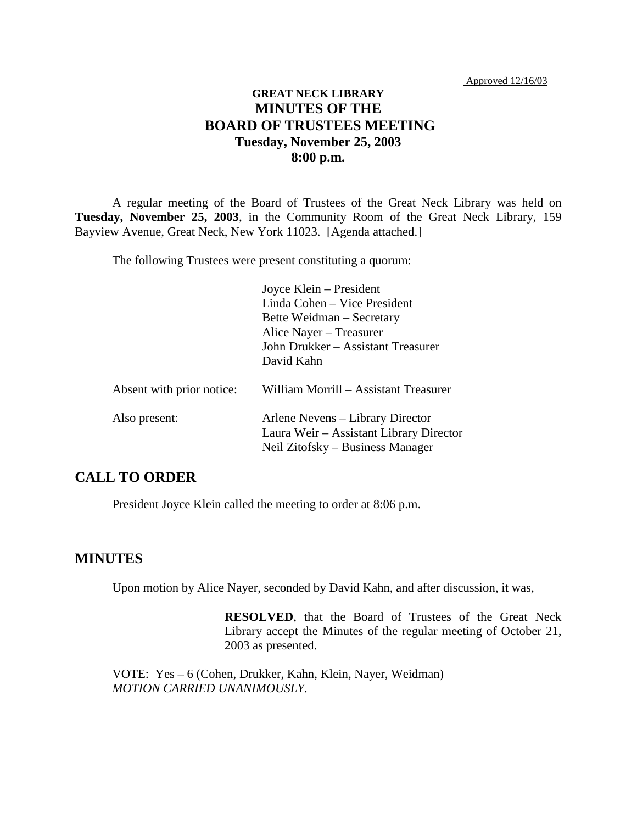Approved 12/16/03

### **GREAT NECK LIBRARY MINUTES OF THE BOARD OF TRUSTEES MEETING Tuesday, November 25, 2003 8:00 p.m.**

A regular meeting of the Board of Trustees of the Great Neck Library was held on **Tuesday, November 25, 2003**, in the Community Room of the Great Neck Library, 159 Bayview Avenue, Great Neck, New York 11023. [Agenda attached.]

The following Trustees were present constituting a quorum:

|                           | Joyce Klein – President<br>Linda Cohen - Vice President<br>Bette Weidman – Secretary<br>Alice Nayer – Treasurer |
|---------------------------|-----------------------------------------------------------------------------------------------------------------|
|                           | John Drukker - Assistant Treasurer<br>David Kahn                                                                |
| Absent with prior notice: | William Morrill - Assistant Treasurer                                                                           |
| Also present:             | Arlene Nevens – Library Director<br>Laura Weir – Assistant Library Director<br>Neil Zitofsky – Business Manager |

# **CALL TO ORDER**

President Joyce Klein called the meeting to order at 8:06 p.m.

#### **MINUTES**

Upon motion by Alice Nayer, seconded by David Kahn, and after discussion, it was,

**RESOLVED**, that the Board of Trustees of the Great Neck Library accept the Minutes of the regular meeting of October 21, 2003 as presented.

VOTE:Yes – 6 (Cohen, Drukker, Kahn, Klein, Nayer, Weidman) *MOTION CARRIED UNANIMOUSLY.*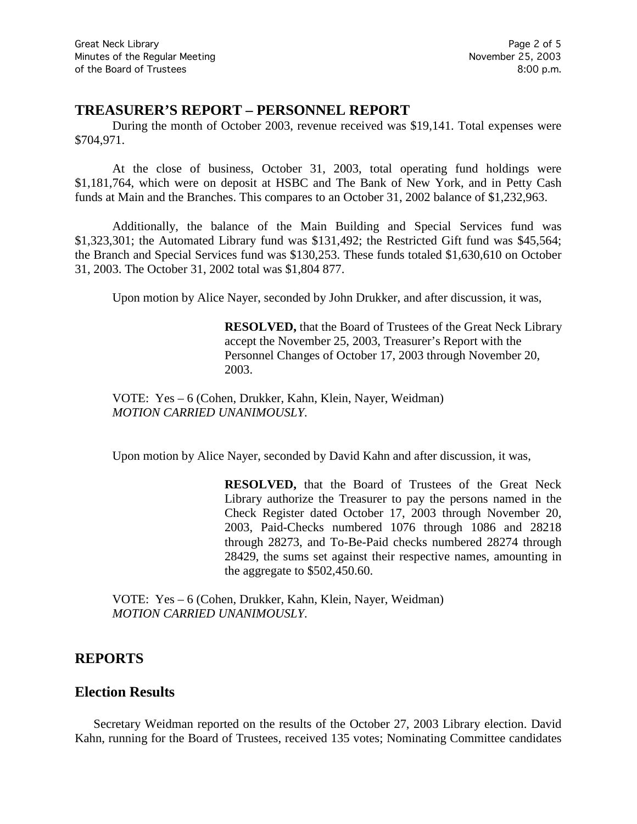### **TREASURER'S REPORT – PERSONNEL REPORT**

During the month of October 2003, revenue received was \$19,141. Total expenses were \$704,971.

At the close of business, October 31, 2003, total operating fund holdings were \$1,181,764, which were on deposit at HSBC and The Bank of New York, and in Petty Cash funds at Main and the Branches. This compares to an October 31, 2002 balance of \$1,232,963.

Additionally, the balance of the Main Building and Special Services fund was \$1,323,301; the Automated Library fund was \$131,492; the Restricted Gift fund was \$45,564; the Branch and Special Services fund was \$130,253. These funds totaled \$1,630,610 on October 31, 2003. The October 31, 2002 total was \$1,804 877.

Upon motion by Alice Nayer, seconded by John Drukker, and after discussion, it was,

**RESOLVED,** that the Board of Trustees of the Great Neck Library accept the November 25, 2003, Treasurer's Report with the Personnel Changes of October 17, 2003 through November 20, 2003.

VOTE:Yes – 6 (Cohen, Drukker, Kahn, Klein, Nayer, Weidman) *MOTION CARRIED UNANIMOUSLY.*

Upon motion by Alice Nayer, seconded by David Kahn and after discussion, it was,

**RESOLVED,** that the Board of Trustees of the Great Neck Library authorize the Treasurer to pay the persons named in the Check Register dated October 17, 2003 through November 20, 2003, Paid-Checks numbered 1076 through 1086 and 28218 through 28273, and To-Be-Paid checks numbered 28274 through 28429, the sums set against their respective names, amounting in the aggregate to \$502,450.60.

VOTE:Yes – 6 (Cohen, Drukker, Kahn, Klein, Nayer, Weidman) *MOTION CARRIED UNANIMOUSLY.*

#### **REPORTS**

#### **Election Results**

Secretary Weidman reported on the results of the October 27, 2003 Library election. David Kahn, running for the Board of Trustees, received 135 votes; Nominating Committee candidates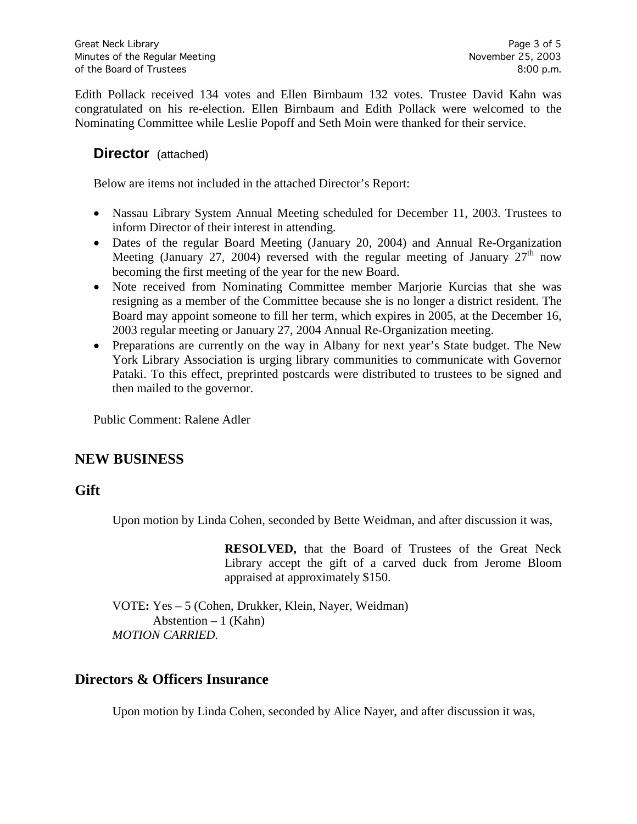Edith Pollack received 134 votes and Ellen Birnbaum 132 votes. Trustee David Kahn was congratulated on his re-election. Ellen Birnbaum and Edith Pollack were welcomed to the Nominating Committee while Leslie Popoff and Seth Moin were thanked for their service.

### **Director** (attached)

Below are items not included in the attached Director's Report:

- Nassau Library System Annual Meeting scheduled for December 11, 2003. Trustees to inform Director of their interest in attending.
- Dates of the regular Board Meeting (January 20, 2004) and Annual Re-Organization Meeting (January 27, 2004) reversed with the regular meeting of January  $27<sup>th</sup>$  now becoming the first meeting of the year for the new Board.
- Note received from Nominating Committee member Marjorie Kurcias that she was resigning as a member of the Committee because she is no longer a district resident. The Board may appoint someone to fill her term, which expires in 2005, at the December 16, 2003 regular meeting or January 27, 2004 Annual Re-Organization meeting.
- Preparations are currently on the way in Albany for next year's State budget. The New York Library Association is urging library communities to communicate with Governor Pataki. To this effect, preprinted postcards were distributed to trustees to be signed and then mailed to the governor.

Public Comment: Ralene Adler

# **NEW BUSINESS**

### **Gift**

Upon motion by Linda Cohen, seconded by Bette Weidman, and after discussion it was,

**RESOLVED,** that the Board of Trustees of the Great Neck Library accept the gift of a carved duck from Jerome Bloom appraised at approximately \$150.

VOTE**:** Yes – 5 (Cohen, Drukker, Klein, Nayer, Weidman) Abstention  $-1$  (Kahn) *MOTION CARRIED.*

### **Directors & Officers Insurance**

Upon motion by Linda Cohen, seconded by Alice Nayer, and after discussion it was,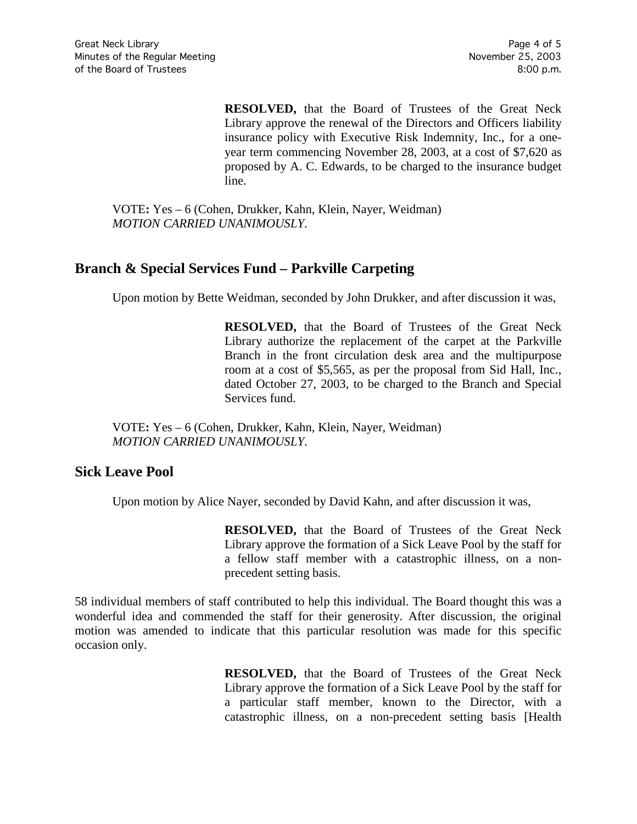**RESOLVED,** that the Board of Trustees of the Great Neck Library approve the renewal of the Directors and Officers liability insurance policy with Executive Risk Indemnity, Inc., for a oneyear term commencing November 28, 2003, at a cost of \$7,620 as proposed by A. C. Edwards, to be charged to the insurance budget line.

VOTE**:** Yes – 6 (Cohen, Drukker, Kahn, Klein, Nayer, Weidman) *MOTION CARRIED UNANIMOUSLY.*

# **Branch & Special Services Fund – Parkville Carpeting**

Upon motion by Bette Weidman, seconded by John Drukker, and after discussion it was,

**RESOLVED,** that the Board of Trustees of the Great Neck Library authorize the replacement of the carpet at the Parkville Branch in the front circulation desk area and the multipurpose room at a cost of \$5,565, as per the proposal from Sid Hall, Inc., dated October 27, 2003, to be charged to the Branch and Special Services fund.

VOTE**:** Yes – 6 (Cohen, Drukker, Kahn, Klein, Nayer, Weidman) *MOTION CARRIED UNANIMOUSLY.*

### **Sick Leave Pool**

Upon motion by Alice Nayer, seconded by David Kahn, and after discussion it was,

**RESOLVED,** that the Board of Trustees of the Great Neck Library approve the formation of a Sick Leave Pool by the staff for a fellow staff member with a catastrophic illness, on a nonprecedent setting basis.

58 individual members of staff contributed to help this individual. The Board thought this was a wonderful idea and commended the staff for their generosity. After discussion, the original motion was amended to indicate that this particular resolution was made for this specific occasion only.

> **RESOLVED,** that the Board of Trustees of the Great Neck Library approve the formation of a Sick Leave Pool by the staff for a particular staff member, known to the Director, with a catastrophic illness, on a non-precedent setting basis [Health